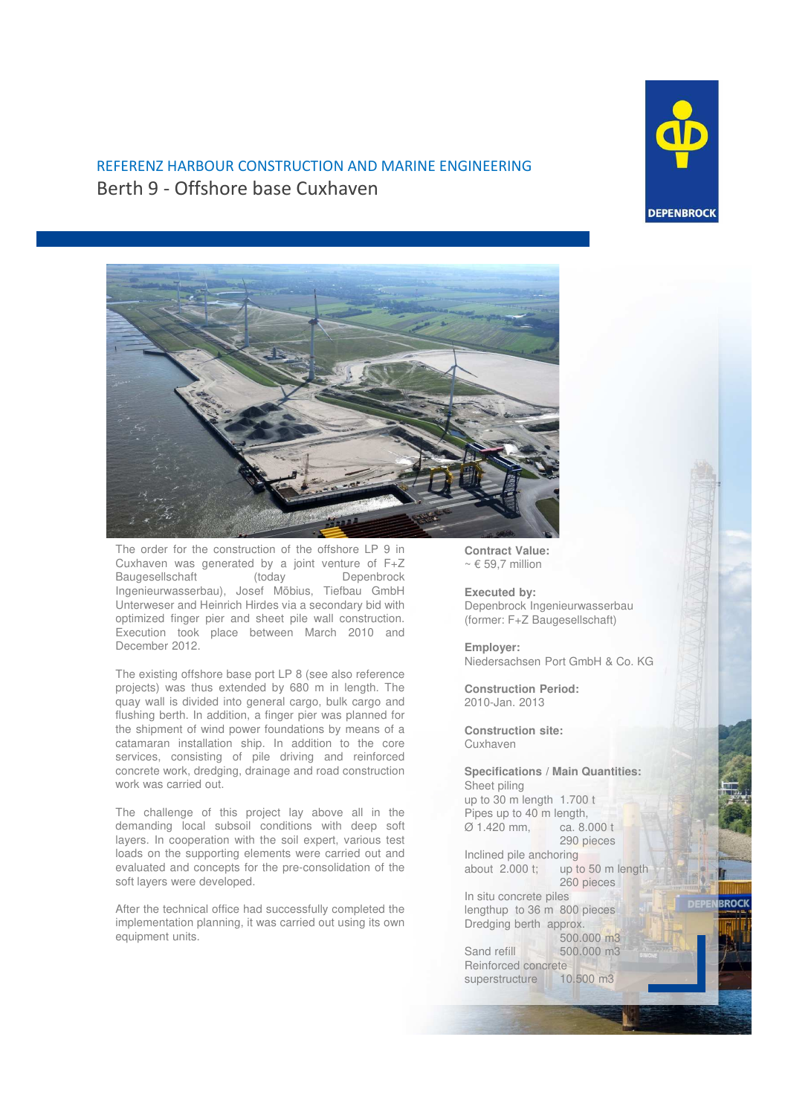## REFERENZ HARBOUR CONSTRUCTION AND MARINE ENGINEERING Berth 9 - Offshore base Cuxhaven



The order for the construction of the offshore LP 9 in Cuxhaven was generated by a joint venture of F+Z<br>Baugesellschaft (today bepenbrock Baugesellschaft Ingenieurwasserbau), Josef Möbius, Tiefbau GmbH Unterweser and Heinrich Hirdes via a secondary bid with optimized finger pier and sheet pile wall construction. Execution took place between March 2010 and December 2012.

The existing offshore base port LP 8 (see also reference projects) was thus extended by 680 m in length. The quay wall is divided into general cargo, bulk cargo and flushing berth. In addition, a finger pier was planned for the shipment of wind power foundations by means of a catamaran installation ship. In addition to the core services, consisting of pile driving and reinforced concrete work, dredging, drainage and road construction work was carried out.

The challenge of this project lay above all in the demanding local subsoil conditions with deep soft layers. In cooperation with the soil expert, various test loads on the supporting elements were carried out and evaluated and concepts for the pre-consolidation of the soft layers were developed.

After the technical office had successfully completed the implementation planning, it was carried out using its own equipment units.

**Contract Value:**   $~\sim 6$  59,7 million

**Executed by:**  Depenbrock Ingenieurwasserbau (former: F+Z Baugesellschaft)

**Employer:**  Niedersachsen Port GmbH & Co. KG

**Construction Period:**  2010-Jan. 2013

**Construction site:**  Cuxhaven

**Specifications / Main Quantities:**  Sheet piling up to 30 m length 1.700 t Pipes up to 40 m length, Ø 1.420 mm, ca. 8.000 t 290 pieces Inclined pile anchoring about 2.000 t; up to 50 m length 260 pieces In situ concrete piles lengthup to 36 m 800 pieces Dredging berth approx. 500.000 m3 Sand refill 500.000 m3 Reinforced concrete superstructure 10.500 m3